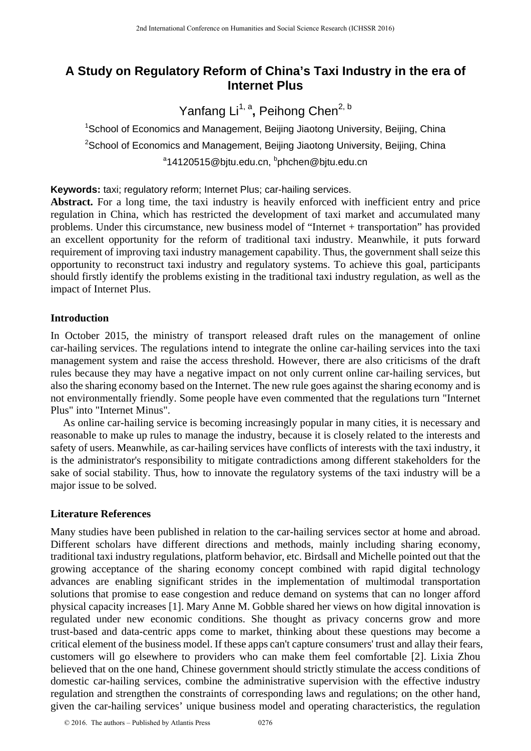# **A Study on Regulatory Reform of China's Taxi Industry in the era of Internet Plus**

Yanfang Li<sup>1, a</sup>, Peihong Chen<sup>2, b</sup>

<sup>1</sup>School of Economics and Management, Beijing Jiaotong University, Beijing, China <sup>2</sup>School of Economics and Management, Beijing Jiaotong University, Beijing, China <sup>a</sup>14120515@bjtu.edu.cn, <sup>b</sup>phchen@bjtu.edu.cn

## **Keywords:** taxi; regulatory reform; Internet Plus; car-hailing services.

Abstract. For a long time, the taxi industry is heavily enforced with inefficient entry and price regulation in China, which has restricted the development of taxi market and accumulated many problems. Under this circumstance, new business model of "Internet + transportation" has provided an excellent opportunity for the reform of traditional taxi industry. Meanwhile, it puts forward requirement of improving taxi industry management capability. Thus, the government shall seize this opportunity to reconstruct taxi industry and regulatory systems. To achieve this goal, participants should firstly identify the problems existing in the traditional taxi industry regulation, as well as the impact of Internet Plus.

## **Introduction**

In October 2015, the ministry of transport released draft rules on the management of online car-hailing services. The regulations intend to integrate the online car-hailing services into the taxi management system and raise the access threshold. However, there are also criticisms of the draft rules because they may have a negative impact on not only current online car-hailing services, but also the sharing economy based on the Internet. The new rule goes against the sharing economy and is not environmentally friendly. Some people have even commented that the regulations turn "Internet Plus" into "Internet Minus".

As online car-hailing service is becoming increasingly popular in many cities, it is necessary and reasonable to make up rules to manage the industry, because it is closely related to the interests and safety of users. Meanwhile, as car-hailing services have conflicts of interests with the taxi industry, it is the administrator's responsibility to mitigate contradictions among different stakeholders for the sake of social stability. Thus, how to innovate the regulatory systems of the taxi industry will be a major issue to be solved.

## **Literature References**

Many studies have been published in relation to the car-hailing services sector at home and abroad. Different scholars have different directions and methods, mainly including sharing economy, traditional taxi industry regulations, platform behavior, etc. Birdsall and Michelle pointed out that the growing acceptance of the sharing economy concept combined with rapid digital technology advances are enabling significant strides in the implementation of multimodal transportation solutions that promise to ease congestion and reduce demand on systems that can no longer afford physical capacity increases [1]. Mary Anne M. Gobble shared her views on how digital innovation is regulated under new economic conditions. She thought as privacy concerns grow and more trust-based and data-centric apps come to market, thinking about these questions may become a critical element of the business model. If these apps can't capture consumers' trust and allay their fears, customers will go elsewhere to providers who can make them feel comfortable [2]. Lixia Zhou believed that on the one hand, Chinese government should strictly stimulate the access conditions of domestic car-hailing services, combine the administrative supervision with the effective industry regulation and strengthen the constraints of corresponding laws and regulations; on the other hand, given the car-hailing services' unique business model and operating characteristics, the regulation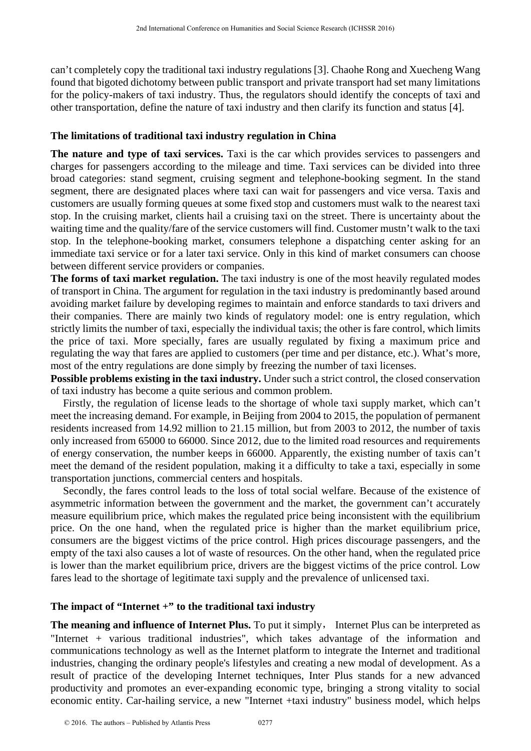can't completely copy the traditional taxi industry regulations [3]. Chaohe Rong and Xuecheng Wang found that bigoted dichotomy between public transport and private transport had set many limitations for the policy-makers of taxi industry. Thus, the regulators should identify the concepts of taxi and other transportation, define the nature of taxi industry and then clarify its function and status [4].

### **The limitations of traditional taxi industry regulation in China**

**The nature and type of taxi services.** Taxi is the car which provides services to passengers and charges for passengers according to the mileage and time. Taxi services can be divided into three broad categories: stand segment, cruising segment and telephone-booking segment. In the stand segment, there are designated places where taxi can wait for passengers and vice versa. Taxis and customers are usually forming queues at some fixed stop and customers must walk to the nearest taxi stop. In the cruising market, clients hail a cruising taxi on the street. There is uncertainty about the waiting time and the quality/fare of the service customers will find. Customer mustn't walk to the taxi stop. In the telephone-booking market, consumers telephone a dispatching center asking for an immediate taxi service or for a later taxi service. Only in this kind of market consumers can choose between different service providers or companies.

**The forms of taxi market regulation.** The taxi industry is one of the most heavily regulated modes of transport in China. The argument for regulation in the taxi industry is predominantly based around avoiding market failure by developing regimes to maintain and enforce standards to taxi drivers and their companies. There are mainly two kinds of regulatory model: one is entry regulation, which strictly limits the number of taxi, especially the individual taxis; the other is fare control, which limits the price of taxi. More specially, fares are usually regulated by fixing a maximum price and regulating the way that fares are applied to customers (per time and per distance, etc.). What's more, most of the entry regulations are done simply by freezing the number of taxi licenses.

**Possible problems existing in the taxi industry.** Under such a strict control, the closed conservation of taxi industry has become a quite serious and common problem.

Firstly, the regulation of license leads to the shortage of whole taxi supply market, which can't meet the increasing demand. For example, in Beijing from 2004 to 2015, the population of permanent residents increased from 14.92 million to 21.15 million, but from 2003 to 2012, the number of taxis only increased from 65000 to 66000. Since 2012, due to the limited road resources and requirements of energy conservation, the number keeps in 66000. Apparently, the existing number of taxis can't meet the demand of the resident population, making it a difficulty to take a taxi, especially in some transportation junctions, commercial centers and hospitals.

Secondly, the fares control leads to the loss of total social welfare. Because of the existence of asymmetric information between the government and the market, the government can't accurately measure equilibrium price, which makes the regulated price being inconsistent with the equilibrium price. On the one hand, when the regulated price is higher than the market equilibrium price, consumers are the biggest victims of the price control. High prices discourage passengers, and the empty of the taxi also causes a lot of waste of resources. On the other hand, when the regulated price is lower than the market equilibrium price, drivers are the biggest victims of the price control. Low fares lead to the shortage of legitimate taxi supply and the prevalence of unlicensed taxi.

## **The impact of "Internet +" to the traditional taxi industry**

**The meaning and influence of Internet Plus.** To put it simply, Internet Plus can be interpreted as "Internet + various traditional industries", which takes advantage of the information and communications technology as well as the Internet platform to integrate the Internet and traditional industries, changing the ordinary people's lifestyles and creating a new modal of development. As a result of practice of the developing Internet techniques, Inter Plus stands for a new advanced productivity and promotes an ever-expanding economic type, bringing a strong vitality to social economic entity. Car-hailing service, a new "Internet +taxi industry" business model, which helps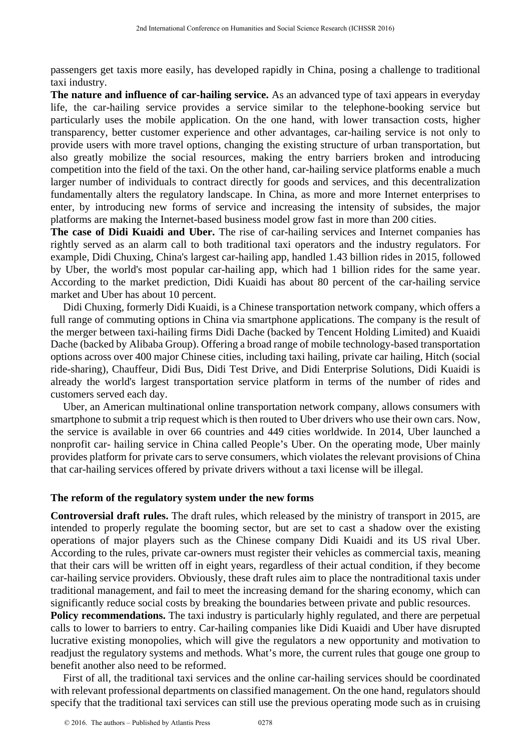passengers get taxis more easily, has developed rapidly in China, posing a challenge to traditional taxi industry.

**The nature and influence of car-hailing service.** As an advanced type of taxi appears in everyday life, the car-hailing service provides a service similar to the telephone-booking service but particularly uses the mobile application. On the one hand, with lower transaction costs, higher transparency, better customer experience and other advantages, car-hailing service is not only to provide users with more travel options, changing the existing structure of urban transportation, but also greatly mobilize the social resources, making the entry barriers broken and introducing competition into the field of the taxi. On the other hand, car-hailing service platforms enable a much larger number of individuals to contract directly for goods and services, and this decentralization fundamentally alters the regulatory landscape. In China, as more and more Internet enterprises to enter, by introducing new forms of service and increasing the intensity of subsides, the major platforms are making the Internet-based business model grow fast in more than 200 cities.

**The case of Didi Kuaidi and Uber.** The rise of car-hailing services and Internet companies has rightly served as an alarm call to both traditional taxi operators and the industry regulators. For example, Didi Chuxing, China's largest car-hailing app, handled 1.43 billion rides in 2015, followed by Uber, the world's most popular car-hailing app, which had 1 billion rides for the same year. According to the market prediction, Didi Kuaidi has about 80 percent of the car-hailing service market and Uber has about 10 percent.

Didi Chuxing, formerly Didi Kuaidi, is a Chinese transportation network company, which offers a full range of commuting options in China via smartphone applications. The company is the result of the merger between taxi-hailing firms Didi Dache (backed by Tencent Holding Limited) and Kuaidi Dache (backed by Alibaba Group). Offering a broad range of mobile technology-based transportation options across over 400 major Chinese cities, including taxi hailing, private car hailing, Hitch (social ride-sharing), Chauffeur, Didi Bus, Didi Test Drive, and Didi Enterprise Solutions, Didi Kuaidi is already the world's largest transportation service platform in terms of the number of rides and customers served each day.

Uber, an American multinational online transportation network company, allows consumers with smartphone to submit a trip request which is then routed to Uber drivers who use their own cars. Now, the service is available in over 66 countries and 449 cities worldwide. In 2014, Uber launched a nonprofit car- hailing service in China called People's Uber. On the operating mode, Uber mainly provides platform for private cars to serve consumers, which violates the relevant provisions of China that car-hailing services offered by private drivers without a taxi license will be illegal.

#### **The reform of the regulatory system under the new forms**

**Controversial draft rules.** The draft rules, which released by the ministry of transport in 2015, are intended to properly regulate the booming sector, but are set to cast a shadow over the existing operations of major players such as the Chinese company Didi Kuaidi and its US rival Uber. According to the rules, private car-owners must register their vehicles as commercial taxis, meaning that their cars will be written off in eight years, regardless of their actual condition, if they become car-hailing service providers. Obviously, these draft rules aim to place the nontraditional taxis under traditional management, and fail to meet the increasing demand for the sharing economy, which can significantly reduce social costs by breaking the boundaries between private and public resources.

**Policy recommendations.** The taxi industry is particularly highly regulated, and there are perpetual calls to lower to barriers to entry. Car-hailing companies like Didi Kuaidi and Uber have disrupted lucrative existing monopolies, which will give the regulators a new opportunity and motivation to readjust the regulatory systems and methods. What's more, the current rules that gouge one group to benefit another also need to be reformed.

First of all, the traditional taxi services and the online car-hailing services should be coordinated with relevant professional departments on classified management. On the one hand, regulators should specify that the traditional taxi services can still use the previous operating mode such as in cruising